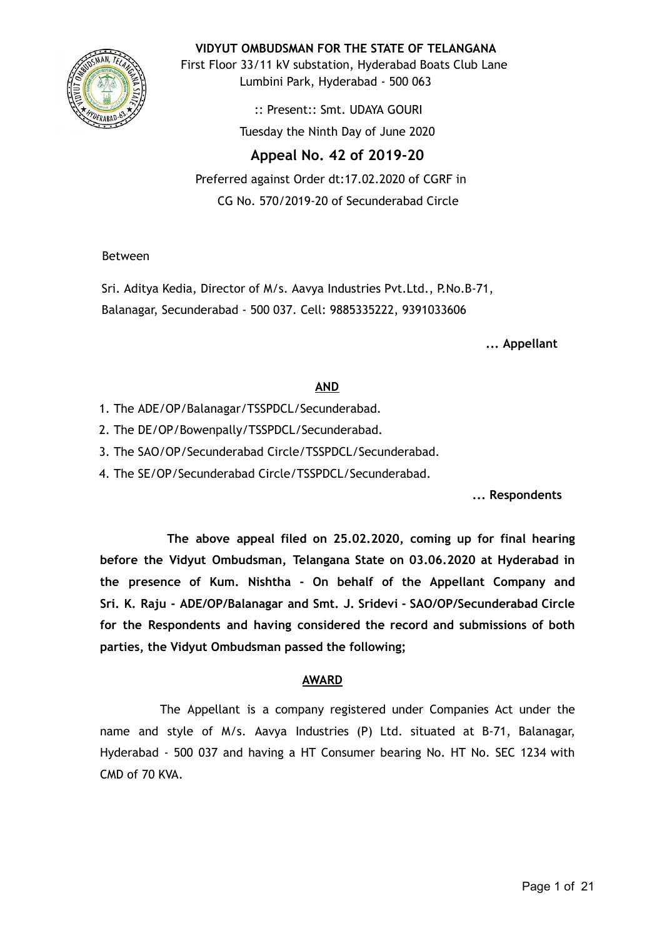

**VIDYUT OMBUDSMAN FOR THE STATE OF TELANGANA**

First Floor 33/11 kV substation, Hyderabad Boats Club Lane Lumbini Park, Hyderabad - 500 063

> :: Present:: Smt. UDAYA GOURI Tuesday the Ninth Day of June 2020

# **Appeal No. 42 of 2019-20**

Preferred against Order dt:17.02.2020 of CGRF in CG No. 570/2019-20 of Secunderabad Circle

Between

Sri. Aditya Kedia, Director of M/s. Aavya Industries Pvt.Ltd., P.No.B-71, Balanagar, Secunderabad - 500 037. Cell: 9885335222, 9391033606

**... Appellant**

### **AND**

- 1. The ADE/OP/Balanagar/TSSPDCL/Secunderabad.
- 2. The DE/OP/Bowenpally/TSSPDCL/Secunderabad.
- 3. The SAO/OP/Secunderabad Circle/TSSPDCL/Secunderabad.
- 4. The SE/OP/Secunderabad Circle/TSSPDCL/Secunderabad.

**... Respondents**

**The above appeal filed on 25.02.2020, coming up for final hearing before the Vidyut Ombudsman, Telangana State on 03.06.2020 at Hyderabad in the presence of Kum. Nishtha - On behalf of the Appellant Company and Sri. K. Raju - ADE/OP/Balanagar and Smt. J. Sridevi - SAO/OP/Secunderabad Circle for the Respondents and having considered the record and submissions of both parties, the Vidyut Ombudsman passed the following;**

## **AWARD**

The Appellant is a company registered under Companies Act under the name and style of M/s. Aavya Industries (P) Ltd. situated at B-71, Balanagar, Hyderabad - 500 037 and having a HT Consumer bearing No. HT No. SEC 1234 with CMD of 70 KVA.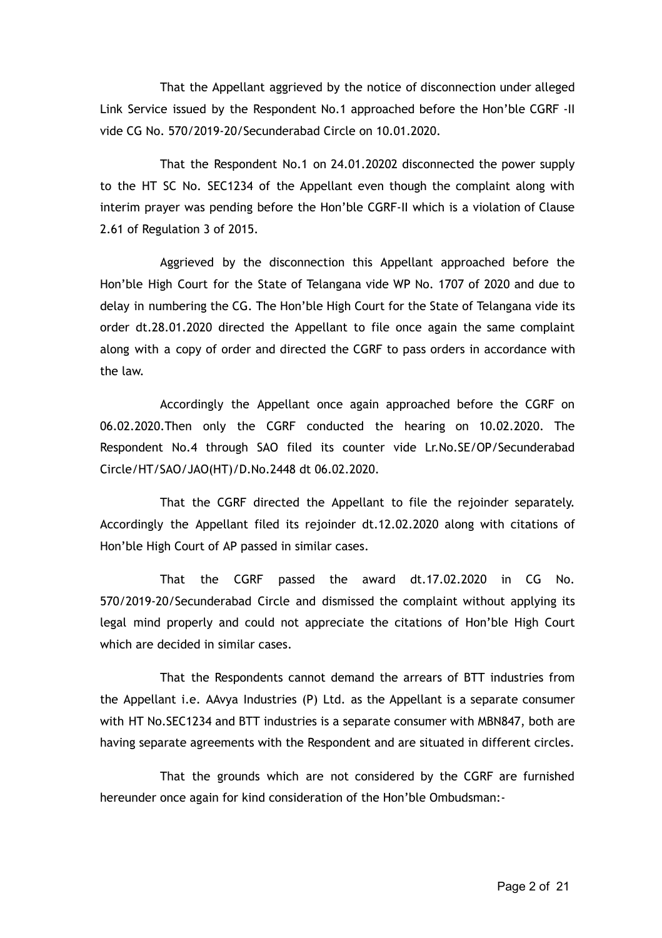That the Appellant aggrieved by the notice of disconnection under alleged Link Service issued by the Respondent No.1 approached before the Hon'ble CGRF -II vide CG No. 570/2019-20/Secunderabad Circle on 10.01.2020.

That the Respondent No.1 on 24.01.20202 disconnected the power supply to the HT SC No. SEC1234 of the Appellant even though the complaint along with interim prayer was pending before the Hon'ble CGRF-II which is a violation of Clause 2.61 of Regulation 3 of 2015.

Aggrieved by the disconnection this Appellant approached before the Hon'ble High Court for the State of Telangana vide WP No. 1707 of 2020 and due to delay in numbering the CG. The Hon'ble High Court for the State of Telangana vide its order dt.28.01.2020 directed the Appellant to file once again the same complaint along with a copy of order and directed the CGRF to pass orders in accordance with the law.

Accordingly the Appellant once again approached before the CGRF on 06.02.2020.Then only the CGRF conducted the hearing on 10.02.2020. The Respondent No.4 through SAO filed its counter vide Lr.No.SE/OP/Secunderabad Circle/HT/SAO/JAO(HT)/D.No.2448 dt 06.02.2020.

That the CGRF directed the Appellant to file the rejoinder separately. Accordingly the Appellant filed its rejoinder dt.12.02.2020 along with citations of Hon'ble High Court of AP passed in similar cases.

That the CGRF passed the award dt.17.02.2020 in CG No. 570/2019-20/Secunderabad Circle and dismissed the complaint without applying its legal mind properly and could not appreciate the citations of Hon'ble High Court which are decided in similar cases.

That the Respondents cannot demand the arrears of BTT industries from the Appellant i.e. AAvya Industries (P) Ltd. as the Appellant is a separate consumer with HT No.SEC1234 and BTT industries is a separate consumer with MBN847, both are having separate agreements with the Respondent and are situated in different circles.

That the grounds which are not considered by the CGRF are furnished hereunder once again for kind consideration of the Hon'ble Ombudsman:-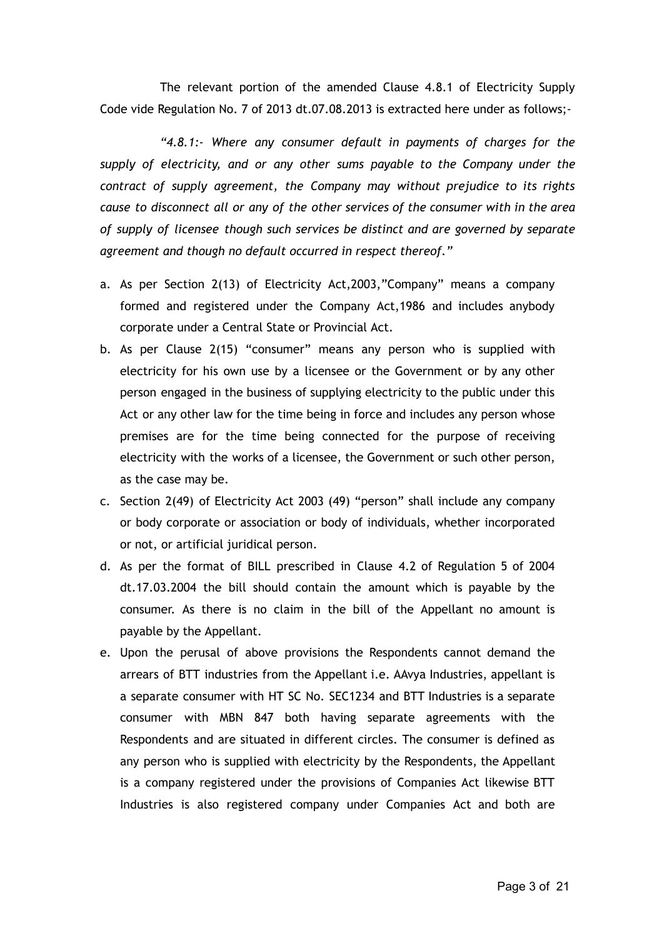The relevant portion of the amended Clause 4.8.1 of Electricity Supply Code vide Regulation No. 7 of 2013 dt.07.08.2013 is extracted here under as follows;-

*"4.8.1:- Where any consumer default in payments of charges for the supply of electricity, and or any other sums payable to the Company under the contract of supply agreement, the Company may without prejudice to its rights cause to disconnect all or any of the other services of the consumer with in the area of supply of licensee though such services be distinct and are governed by separate agreement and though no default occurred in respect thereof."*

- a. As per Section 2(13) of Electricity Act,2003,"Company" means a company formed and registered under the Company Act,1986 and includes anybody corporate under a Central State or Provincial Act.
- b. As per Clause 2(15) "consumer" means any person who is supplied with electricity for his own use by a licensee or the Government or by any other person engaged in the business of supplying electricity to the public under this Act or any other law for the time being in force and includes any person whose premises are for the time being connected for the purpose of receiving electricity with the works of a licensee, the Government or such other person, as the case may be.
- c. Section 2(49) of Electricity Act 2003 (49) "person" shall include any company or body corporate or association or body of individuals, whether incorporated or not, or artificial juridical person.
- d. As per the format of BILL prescribed in Clause 4.2 of Regulation 5 of 2004 dt.17.03.2004 the bill should contain the amount which is payable by the consumer. As there is no claim in the bill of the Appellant no amount is payable by the Appellant.
- e. Upon the perusal of above provisions the Respondents cannot demand the arrears of BTT industries from the Appellant i.e. AAvya Industries, appellant is a separate consumer with HT SC No. SEC1234 and BTT Industries is a separate consumer with MBN 847 both having separate agreements with the Respondents and are situated in different circles. The consumer is defined as any person who is supplied with electricity by the Respondents, the Appellant is a company registered under the provisions of Companies Act likewise BTT Industries is also registered company under Companies Act and both are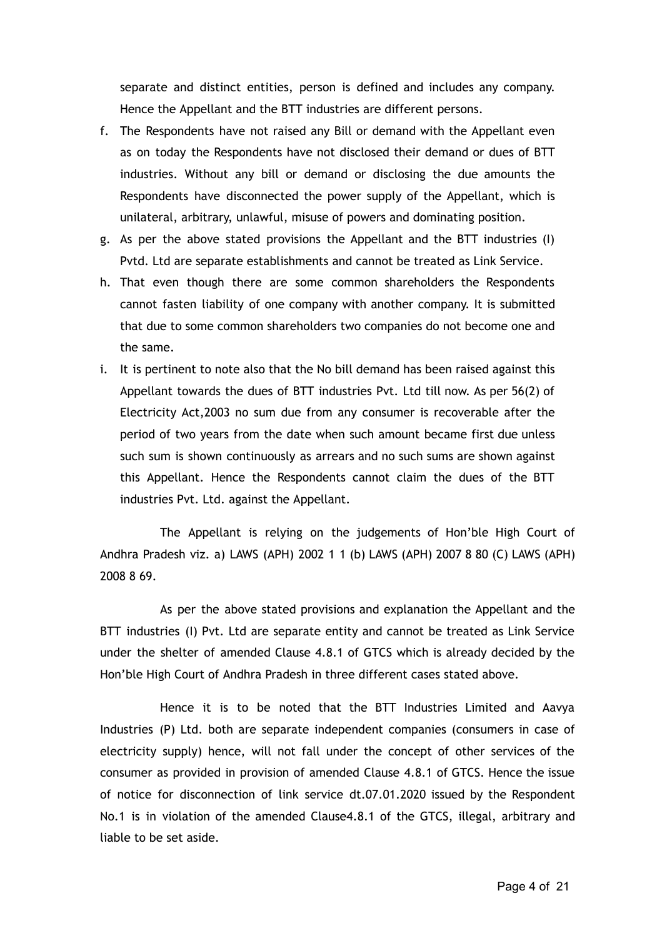separate and distinct entities, person is defined and includes any company. Hence the Appellant and the BTT industries are different persons.

- f. The Respondents have not raised any Bill or demand with the Appellant even as on today the Respondents have not disclosed their demand or dues of BTT industries. Without any bill or demand or disclosing the due amounts the Respondents have disconnected the power supply of the Appellant, which is unilateral, arbitrary, unlawful, misuse of powers and dominating position.
- g. As per the above stated provisions the Appellant and the BTT industries (I) Pvtd. Ltd are separate establishments and cannot be treated as Link Service.
- h. That even though there are some common shareholders the Respondents cannot fasten liability of one company with another company. It is submitted that due to some common shareholders two companies do not become one and the same.
- i. It is pertinent to note also that the No bill demand has been raised against this Appellant towards the dues of BTT industries Pvt. Ltd till now. As per 56(2) of Electricity Act,2003 no sum due from any consumer is recoverable after the period of two years from the date when such amount became first due unless such sum is shown continuously as arrears and no such sums are shown against this Appellant. Hence the Respondents cannot claim the dues of the BTT industries Pvt. Ltd. against the Appellant.

The Appellant is relying on the judgements of Hon'ble High Court of Andhra Pradesh viz. a) LAWS (APH) 2002 1 1 (b) LAWS (APH) 2007 8 80 (C) LAWS (APH) 2008 8 69.

As per the above stated provisions and explanation the Appellant and the BTT industries (I) Pvt. Ltd are separate entity and cannot be treated as Link Service under the shelter of amended Clause 4.8.1 of GTCS which is already decided by the Hon'ble High Court of Andhra Pradesh in three different cases stated above.

Hence it is to be noted that the BTT Industries Limited and Aavya Industries (P) Ltd. both are separate independent companies (consumers in case of electricity supply) hence, will not fall under the concept of other services of the consumer as provided in provision of amended Clause 4.8.1 of GTCS. Hence the issue of notice for disconnection of link service dt.07.01.2020 issued by the Respondent No.1 is in violation of the amended Clause4.8.1 of the GTCS, illegal, arbitrary and liable to be set aside.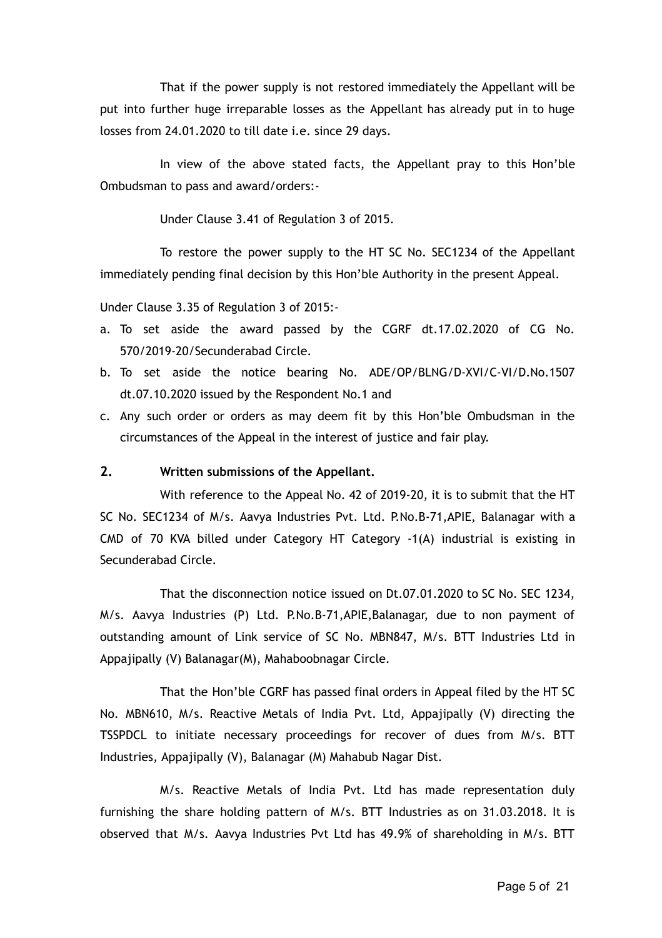That if the power supply is not restored immediately the Appellant will be put into further huge irreparable losses as the Appellant has already put in to huge losses from 24.01.2020 to till date i.e. since 29 days.

In view of the above stated facts, the Appellant pray to this Hon'ble Ombudsman to pass and award/orders:-

Under Clause 3.41 of Regulation 3 of 2015.

To restore the power supply to the HT SC No. SEC1234 of the Appellant immediately pending final decision by this Hon'ble Authority in the present Appeal.

Under Clause 3.35 of Regulation 3 of 2015:-

- a. To set aside the award passed by the CGRF dt.17.02.2020 of CG No. 570/2019-20/Secunderabad Circle.
- b. To set aside the notice bearing No. ADE/OP/BLNG/D-XVI/C-VI/D.No.1507 dt.07.10.2020 issued by the Respondent No.1 and
- c. Any such order or orders as may deem fit by this Hon'ble Ombudsman in the circumstances of the Appeal in the interest of justice and fair play.

#### **2. Written submissions of the Appellant.**

With reference to the Appeal No. 42 of 2019-20, it is to submit that the HT SC No. SEC1234 of M/s. Aavya Industries Pvt. Ltd. P.No.B-71,APIE, Balanagar with a CMD of 70 KVA billed under Category HT Category -1(A) industrial is existing in Secunderabad Circle.

That the disconnection notice issued on Dt.07.01.2020 to SC No. SEC 1234, M/s. Aavya Industries (P) Ltd. P.No.B-71,APIE,Balanagar, due to non payment of outstanding amount of Link service of SC No. MBN847, M/s. BTT Industries Ltd in Appajipally (V) Balanagar(M), Mahaboobnagar Circle.

That the Hon'ble CGRF has passed final orders in Appeal filed by the HT SC No. MBN610, M/s. Reactive Metals of India Pvt. Ltd, Appajipally (V) directing the TSSPDCL to initiate necessary proceedings for recover of dues from M/s. BTT Industries, Appajipally (V), Balanagar (M) Mahabub Nagar Dist.

M/s. Reactive Metals of India Pvt. Ltd has made representation duly furnishing the share holding pattern of M/s. BTT Industries as on 31.03.2018. It is observed that M/s. Aavya Industries Pvt Ltd has 49.9% of shareholding in M/s. BTT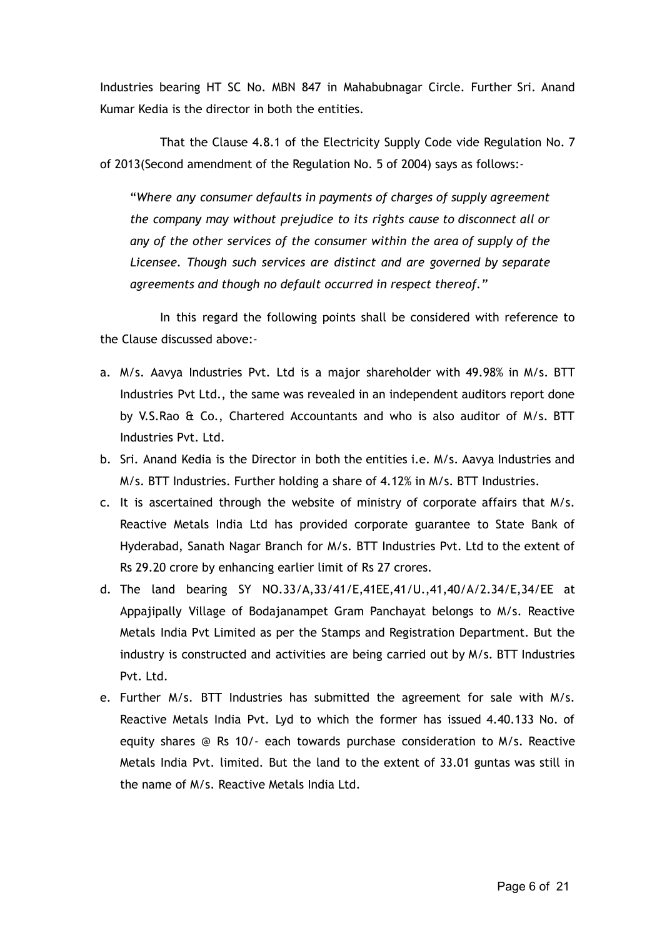Industries bearing HT SC No. MBN 847 in Mahabubnagar Circle. Further Sri. Anand Kumar Kedia is the director in both the entities.

That the Clause 4.8.1 of the Electricity Supply Code vide Regulation No. 7 of 2013(Second amendment of the Regulation No. 5 of 2004) says as follows:-

"*Where any consumer defaults in payments of charges of supply agreement the company may without prejudice to its rights cause to disconnect all or any of the other services of the consumer within the area of supply of the Licensee. Though such services are distinct and are governed by separate agreements and though no default occurred in respect thereof."*

In this regard the following points shall be considered with reference to the Clause discussed above:-

- a. M/s. Aavya Industries Pvt. Ltd is a major shareholder with 49.98% in M/s. BTT Industries Pvt Ltd., the same was revealed in an independent auditors report done by V.S.Rao & Co., Chartered Accountants and who is also auditor of M/s. BTT Industries Pvt. Ltd.
- b. Sri. Anand Kedia is the Director in both the entities i.e. M/s. Aavya Industries and M/s. BTT Industries. Further holding a share of 4.12% in M/s. BTT Industries.
- c. It is ascertained through the website of ministry of corporate affairs that M/s. Reactive Metals India Ltd has provided corporate guarantee to State Bank of Hyderabad, Sanath Nagar Branch for M/s. BTT Industries Pvt. Ltd to the extent of Rs 29.20 crore by enhancing earlier limit of Rs 27 crores.
- d. The land bearing SY NO.33/A,33/41/E,41EE,41/U.,41,40/A/2.34/E,34/EE at Appajipally Village of Bodajanampet Gram Panchayat belongs to M/s. Reactive Metals India Pvt Limited as per the Stamps and Registration Department. But the industry is constructed and activities are being carried out by M/s. BTT Industries Pvt. Ltd.
- e. Further M/s. BTT Industries has submitted the agreement for sale with M/s. Reactive Metals India Pvt. Lyd to which the former has issued 4.40.133 No. of equity shares @ Rs 10/- each towards purchase consideration to M/s. Reactive Metals India Pvt. limited. But the land to the extent of 33.01 guntas was still in the name of M/s. Reactive Metals India Ltd.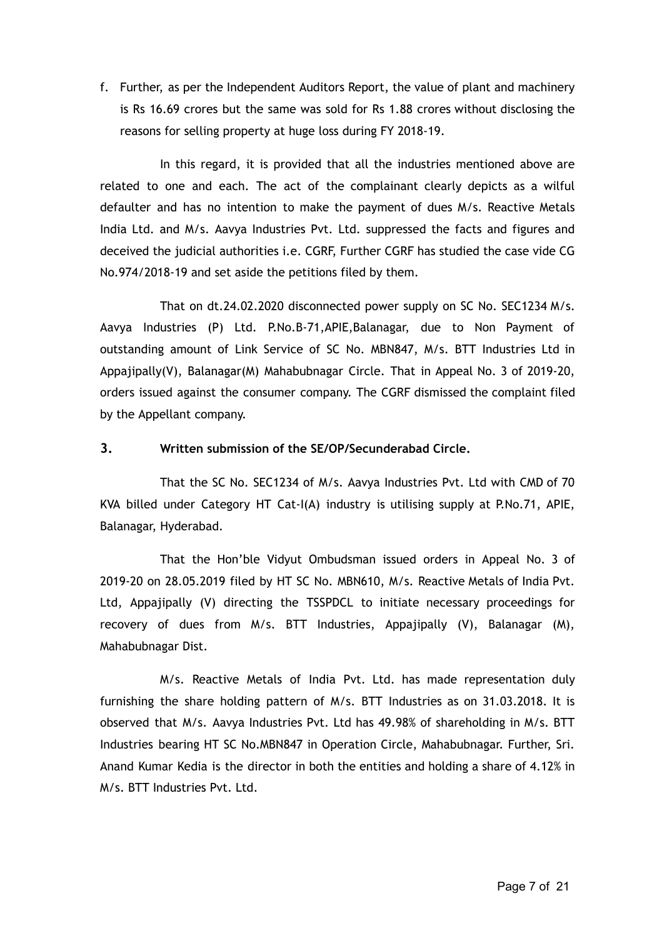f. Further, as per the Independent Auditors Report, the value of plant and machinery is Rs 16.69 crores but the same was sold for Rs 1.88 crores without disclosing the reasons for selling property at huge loss during FY 2018-19.

In this regard, it is provided that all the industries mentioned above are related to one and each. The act of the complainant clearly depicts as a wilful defaulter and has no intention to make the payment of dues M/s. Reactive Metals India Ltd. and M/s. Aavya Industries Pvt. Ltd. suppressed the facts and figures and deceived the judicial authorities i.e. CGRF, Further CGRF has studied the case vide CG No.974/2018-19 and set aside the petitions filed by them.

That on dt.24.02.2020 disconnected power supply on SC No. SEC1234 M/s. Aavya Industries (P) Ltd. P.No.B-71,APIE,Balanagar, due to Non Payment of outstanding amount of Link Service of SC No. MBN847, M/s. BTT Industries Ltd in Appajipally(V), Balanagar(M) Mahabubnagar Circle. That in Appeal No. 3 of 2019-20, orders issued against the consumer company. The CGRF dismissed the complaint filed by the Appellant company.

### **3. Written submission of the SE/OP/Secunderabad Circle.**

That the SC No. SEC1234 of M/s. Aavya Industries Pvt. Ltd with CMD of 70 KVA billed under Category HT Cat-I(A) industry is utilising supply at P.No.71, APIE, Balanagar, Hyderabad.

That the Hon'ble Vidyut Ombudsman issued orders in Appeal No. 3 of 2019-20 on 28.05.2019 filed by HT SC No. MBN610, M/s. Reactive Metals of India Pvt. Ltd, Appajipally (V) directing the TSSPDCL to initiate necessary proceedings for recovery of dues from M/s. BTT Industries, Appajipally (V), Balanagar (M), Mahabubnagar Dist.

M/s. Reactive Metals of India Pvt. Ltd. has made representation duly furnishing the share holding pattern of M/s. BTT Industries as on 31.03.2018. It is observed that M/s. Aavya Industries Pvt. Ltd has 49.98% of shareholding in M/s. BTT Industries bearing HT SC No.MBN847 in Operation Circle, Mahabubnagar. Further, Sri. Anand Kumar Kedia is the director in both the entities and holding a share of 4.12% in M/s. BTT Industries Pvt. Ltd.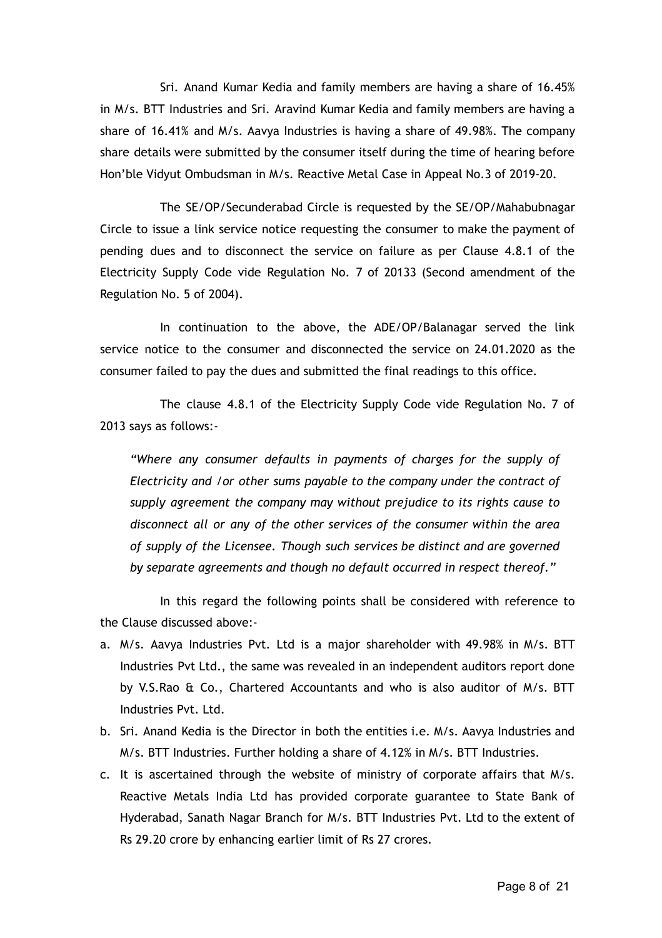Sri. Anand Kumar Kedia and family members are having a share of 16.45% in M/s. BTT Industries and Sri. Aravind Kumar Kedia and family members are having a share of 16.41% and M/s. Aavya Industries is having a share of 49.98%. The company share details were submitted by the consumer itself during the time of hearing before Hon'ble Vidyut Ombudsman in M/s. Reactive Metal Case in Appeal No.3 of 2019-20.

The SE/OP/Secunderabad Circle is requested by the SE/OP/Mahabubnagar Circle to issue a link service notice requesting the consumer to make the payment of pending dues and to disconnect the service on failure as per Clause 4.8.1 of the Electricity Supply Code vide Regulation No. 7 of 20133 (Second amendment of the Regulation No. 5 of 2004).

In continuation to the above, the ADE/OP/Balanagar served the link service notice to the consumer and disconnected the service on 24.01.2020 as the consumer failed to pay the dues and submitted the final readings to this office.

The clause 4.8.1 of the Electricity Supply Code vide Regulation No. 7 of 2013 says as follows:-

*"Where any consumer defaults in payments of charges for the supply of Electricity and /or other sums payable to the company under the contract of supply agreement the company may without prejudice to its rights cause to disconnect all or any of the other services of the consumer within the area of supply of the Licensee. Though such services be distinct and are governed by separate agreements and though no default occurred in respect thereof."*

In this regard the following points shall be considered with reference to the Clause discussed above:-

- a. M/s. Aavya Industries Pvt. Ltd is a major shareholder with 49.98% in M/s. BTT Industries Pvt Ltd., the same was revealed in an independent auditors report done by V.S.Rao & Co., Chartered Accountants and who is also auditor of M/s. BTT Industries Pvt. Ltd.
- b. Sri. Anand Kedia is the Director in both the entities i.e. M/s. Aavya Industries and M/s. BTT Industries. Further holding a share of 4.12% in M/s. BTT Industries.
- c. It is ascertained through the website of ministry of corporate affairs that M/s. Reactive Metals India Ltd has provided corporate guarantee to State Bank of Hyderabad, Sanath Nagar Branch for M/s. BTT Industries Pvt. Ltd to the extent of Rs 29.20 crore by enhancing earlier limit of Rs 27 crores.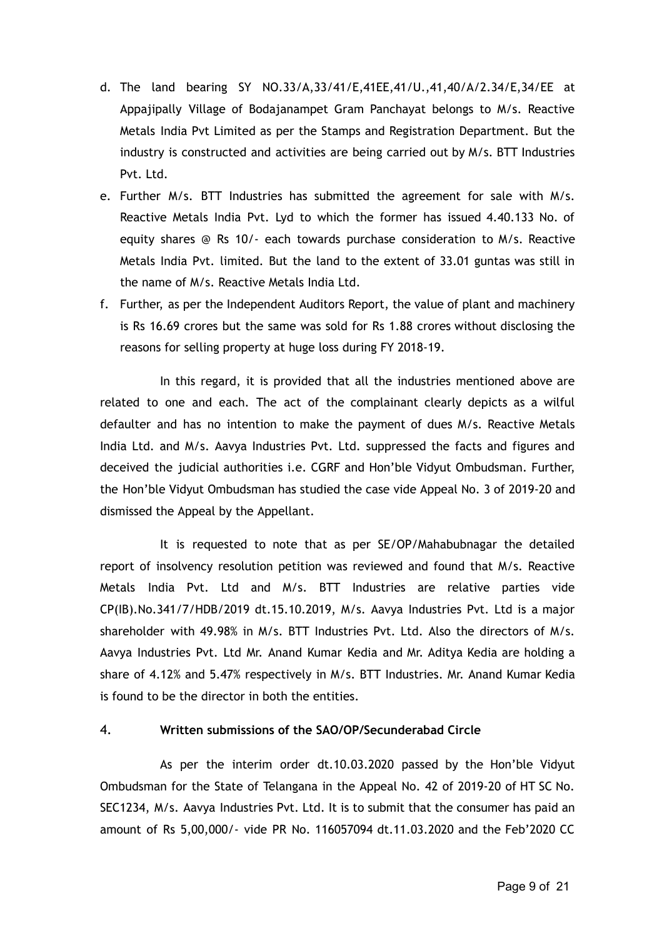- d. The land bearing SY NO.33/A,33/41/E,41EE,41/U.,41,40/A/2.34/E,34/EE at Appajipally Village of Bodajanampet Gram Panchayat belongs to M/s. Reactive Metals India Pvt Limited as per the Stamps and Registration Department. But the industry is constructed and activities are being carried out by M/s. BTT Industries Pvt. Ltd.
- e. Further M/s. BTT Industries has submitted the agreement for sale with M/s. Reactive Metals India Pvt. Lyd to which the former has issued 4.40.133 No. of equity shares @ Rs 10/- each towards purchase consideration to M/s. Reactive Metals India Pvt. limited. But the land to the extent of 33.01 guntas was still in the name of M/s. Reactive Metals India Ltd.
- f. Further, as per the Independent Auditors Report, the value of plant and machinery is Rs 16.69 crores but the same was sold for Rs 1.88 crores without disclosing the reasons for selling property at huge loss during FY 2018-19.

In this regard, it is provided that all the industries mentioned above are related to one and each. The act of the complainant clearly depicts as a wilful defaulter and has no intention to make the payment of dues M/s. Reactive Metals India Ltd. and M/s. Aavya Industries Pvt. Ltd. suppressed the facts and figures and deceived the judicial authorities i.e. CGRF and Hon'ble Vidyut Ombudsman. Further, the Hon'ble Vidyut Ombudsman has studied the case vide Appeal No. 3 of 2019-20 and dismissed the Appeal by the Appellant.

It is requested to note that as per SE/OP/Mahabubnagar the detailed report of insolvency resolution petition was reviewed and found that M/s. Reactive Metals India Pvt. Ltd and M/s. BTT Industries are relative parties vide CP(IB).No.341/7/HDB/2019 dt.15.10.2019, M/s. Aavya Industries Pvt. Ltd is a major shareholder with 49.98% in M/s. BTT Industries Pvt. Ltd. Also the directors of M/s. Aavya Industries Pvt. Ltd Mr. Anand Kumar Kedia and Mr. Aditya Kedia are holding a share of 4.12% and 5.47% respectively in M/s. BTT Industries. Mr. Anand Kumar Kedia is found to be the director in both the entities.

### 4. **Written submissions of the SAO/OP/Secunderabad Circle**

As per the interim order dt.10.03.2020 passed by the Hon'ble Vidyut Ombudsman for the State of Telangana in the Appeal No. 42 of 2019-20 of HT SC No. SEC1234, M/s. Aavya Industries Pvt. Ltd. It is to submit that the consumer has paid an amount of Rs 5,00,000/- vide PR No. 116057094 dt.11.03.2020 and the Feb'2020 CC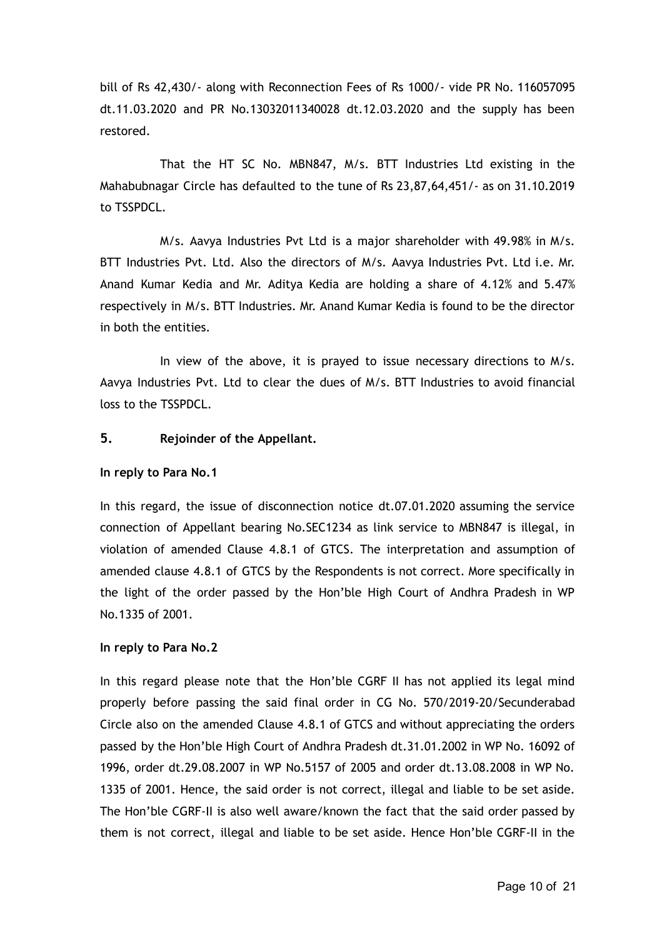bill of Rs 42,430/- along with Reconnection Fees of Rs 1000/- vide PR No. 116057095 dt.11.03.2020 and PR No.13032011340028 dt.12.03.2020 and the supply has been restored.

That the HT SC No. MBN847, M/s. BTT Industries Ltd existing in the Mahabubnagar Circle has defaulted to the tune of Rs 23,87,64,451/- as on 31.10.2019 to TSSPDCL.

M/s. Aavya Industries Pvt Ltd is a major shareholder with 49.98% in M/s. BTT Industries Pvt. Ltd. Also the directors of M/s. Aavya Industries Pvt. Ltd i.e. Mr. Anand Kumar Kedia and Mr. Aditya Kedia are holding a share of 4.12% and 5.47% respectively in M/s. BTT Industries. Mr. Anand Kumar Kedia is found to be the director in both the entities.

In view of the above, it is prayed to issue necessary directions to M/s. Aavya Industries Pvt. Ltd to clear the dues of M/s. BTT Industries to avoid financial loss to the TSSPDCL.

### **5. Rejoinder of the Appellant.**

#### **In reply to Para No.1**

In this regard, the issue of disconnection notice dt.07.01.2020 assuming the service connection of Appellant bearing No.SEC1234 as link service to MBN847 is illegal, in violation of amended Clause 4.8.1 of GTCS. The interpretation and assumption of amended clause 4.8.1 of GTCS by the Respondents is not correct. More specifically in the light of the order passed by the Hon'ble High Court of Andhra Pradesh in WP No.1335 of 2001.

#### **In reply to Para No.2**

In this regard please note that the Hon'ble CGRF II has not applied its legal mind properly before passing the said final order in CG No. 570/2019-20/Secunderabad Circle also on the amended Clause 4.8.1 of GTCS and without appreciating the orders passed by the Hon'ble High Court of Andhra Pradesh dt.31.01.2002 in WP No. 16092 of 1996, order dt.29.08.2007 in WP No.5157 of 2005 and order dt.13.08.2008 in WP No. 1335 of 2001. Hence, the said order is not correct, illegal and liable to be set aside. The Hon'ble CGRF-II is also well aware/known the fact that the said order passed by them is not correct, illegal and liable to be set aside. Hence Hon'ble CGRF-II in the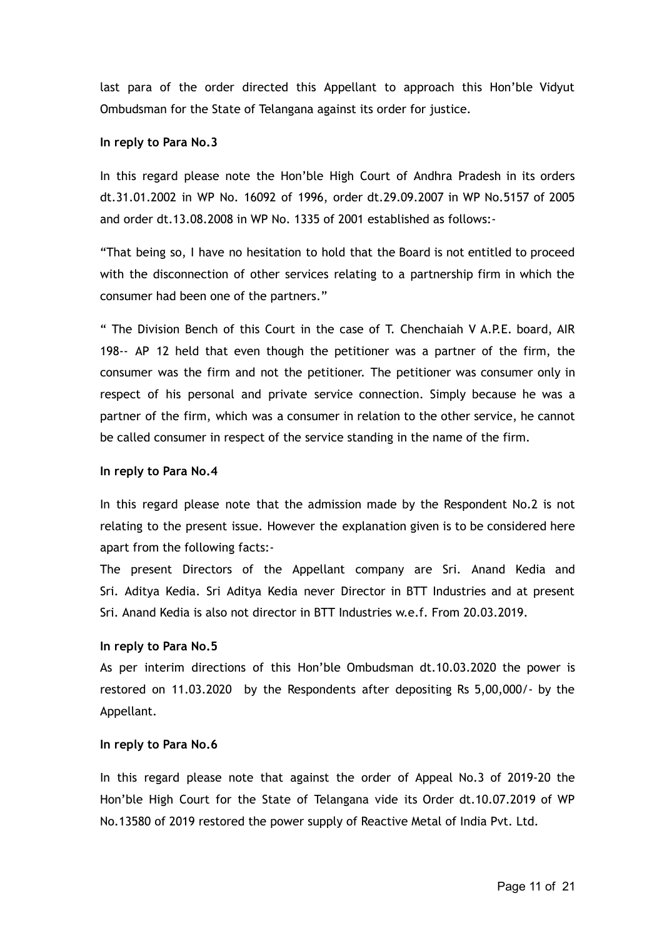last para of the order directed this Appellant to approach this Hon'ble Vidyut Ombudsman for the State of Telangana against its order for justice.

#### **In reply to Para No.3**

In this regard please note the Hon'ble High Court of Andhra Pradesh in its orders dt.31.01.2002 in WP No. 16092 of 1996, order dt.29.09.2007 in WP No.5157 of 2005 and order dt.13.08.2008 in WP No. 1335 of 2001 established as follows:-

"That being so, I have no hesitation to hold that the Board is not entitled to proceed with the disconnection of other services relating to a partnership firm in which the consumer had been one of the partners."

" The Division Bench of this Court in the case of T. Chenchaiah V A.P.E. board, AIR 198-- AP 12 held that even though the petitioner was a partner of the firm, the consumer was the firm and not the petitioner. The petitioner was consumer only in respect of his personal and private service connection. Simply because he was a partner of the firm, which was a consumer in relation to the other service, he cannot be called consumer in respect of the service standing in the name of the firm.

#### **In reply to Para No.4**

In this regard please note that the admission made by the Respondent No.2 is not relating to the present issue. However the explanation given is to be considered here apart from the following facts:-

The present Directors of the Appellant company are Sri. Anand Kedia and Sri. Aditya Kedia. Sri Aditya Kedia never Director in BTT Industries and at present Sri. Anand Kedia is also not director in BTT Industries w.e.f. From 20.03.2019.

### **In reply to Para No.5**

As per interim directions of this Hon'ble Ombudsman dt.10.03.2020 the power is restored on 11.03.2020 by the Respondents after depositing Rs 5,00,000/- by the Appellant.

#### **In reply to Para No.6**

In this regard please note that against the order of Appeal No.3 of 2019-20 the Hon'ble High Court for the State of Telangana vide its Order dt.10.07.2019 of WP No.13580 of 2019 restored the power supply of Reactive Metal of India Pvt. Ltd.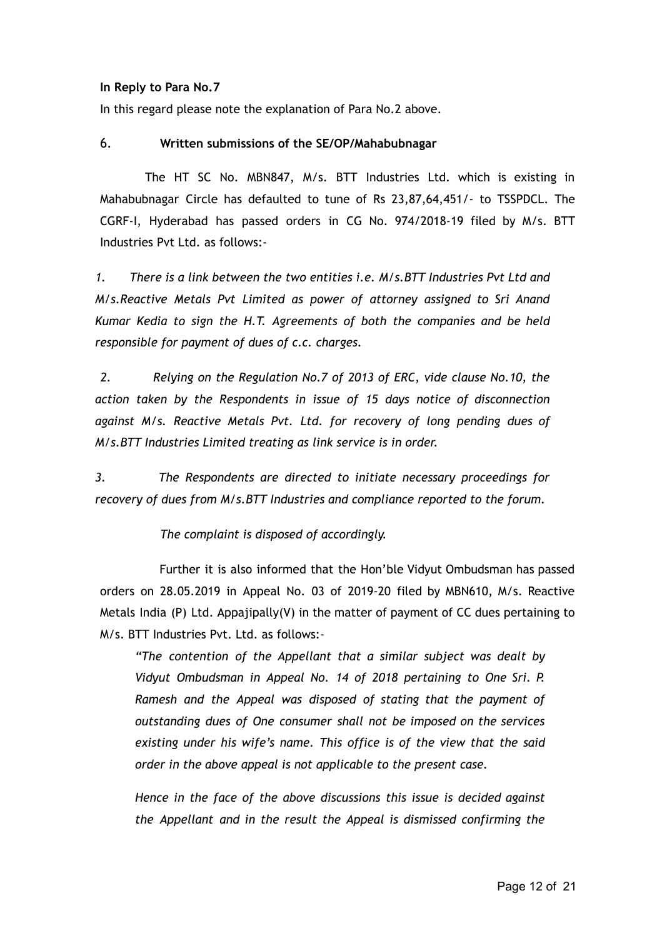#### **In Reply to Para No.7**

In this regard please note the explanation of Para No.2 above.

### 6. **Written submissions of the SE/OP/Mahabubnagar**

The HT SC No. MBN847, M/s. BTT Industries Ltd. which is existing in Mahabubnagar Circle has defaulted to tune of Rs 23,87,64,451/- to TSSPDCL. The CGRF-I, Hyderabad has passed orders in CG No. 974/2018-19 filed by M/s. BTT Industries Pvt Ltd. as follows:-

*1. There is a link between the two entities i.e. M/s.BTT Industries Pvt Ltd and M/s.Reactive Metals Pvt Limited as power of attorney assigned to Sri Anand Kumar Kedia to sign the H.T. Agreements of both the companies and be held responsible for payment of dues of c.c. charges.*

*2. Relying on the Regulation No.7 of 2013 of ERC, vide clause No.10, the action taken by the Respondents in issue of 15 days notice of disconnection against M/s. Reactive Metals Pvt. Ltd. for recovery of long pending dues of M/s.BTT Industries Limited treating as link service is in order.*

*3. The Respondents are directed to initiate necessary proceedings for recovery of dues from M/s.BTT Industries and compliance reported to the forum.*

*The complaint is disposed of accordingly.*

Further it is also informed that the Hon'ble Vidyut Ombudsman has passed orders on 28.05.2019 in Appeal No. 03 of 2019-20 filed by MBN610, M/s. Reactive Metals India (P) Ltd. Appajipally(V) in the matter of payment of CC dues pertaining to M/s. BTT Industries Pvt. Ltd. as follows:-

*"The contention of the Appellant that a similar subject was dealt by Vidyut Ombudsman in Appeal No. 14 of 2018 pertaining to One Sri. P. Ramesh and the Appeal was disposed of stating that the payment of outstanding dues of One consumer shall not be imposed on the services existing under his wife's name. This office is of the view that the said order in the above appeal is not applicable to the present case.*

*Hence in the face of the above discussions this issue is decided against the Appellant and in the result the Appeal is dismissed confirming the*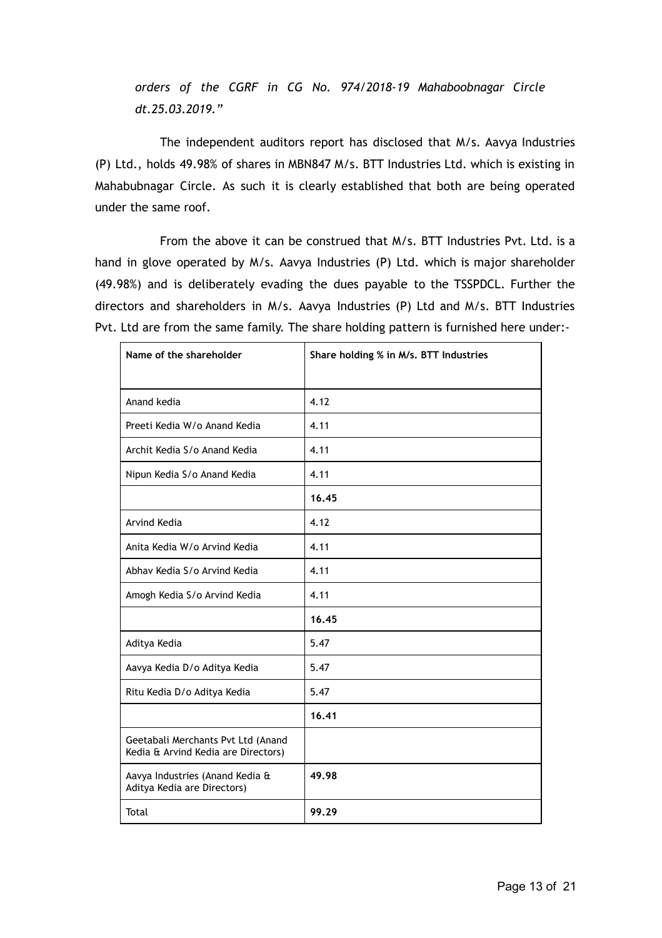*orders of the CGRF in CG No. 974/2018-19 Mahaboobnagar Circle dt.25.03.2019."*

The independent auditors report has disclosed that M/s. Aavya Industries (P) Ltd., holds 49.98% of shares in MBN847 M/s. BTT Industries Ltd. which is existing in Mahabubnagar Circle. As such it is clearly established that both are being operated under the same roof.

From the above it can be construed that M/s. BTT Industries Pvt. Ltd. is a hand in glove operated by M/s. Aavya Industries (P) Ltd. which is major shareholder (49.98%) and is deliberately evading the dues payable to the TSSPDCL. Further the directors and shareholders in M/s. Aavya Industries (P) Ltd and M/s. BTT Industries Pvt. Ltd are from the same family. The share holding pattern is furnished here under:-

| Name of the shareholder                                                   | Share holding % in M/s. BTT Industries |
|---------------------------------------------------------------------------|----------------------------------------|
|                                                                           |                                        |
| Anand kedia                                                               | 4.12                                   |
| Preeti Kedia W/o Anand Kedia                                              | 4.11                                   |
| Archit Kedia S/o Anand Kedia                                              | 4.11                                   |
| Nipun Kedia S/o Anand Kedia                                               | 4.11                                   |
|                                                                           | 16.45                                  |
| Arvind Kedia                                                              | 4.12                                   |
| Anita Kedia W/o Arvind Kedia                                              | 4.11                                   |
| Abhay Kedia S/o Arvind Kedia                                              | 4.11                                   |
| Amogh Kedia S/o Arvind Kedia                                              | 4.11                                   |
|                                                                           | 16.45                                  |
| Aditya Kedia                                                              | 5.47                                   |
| Aavya Kedia D/o Aditya Kedia                                              | 5.47                                   |
| Ritu Kedia D/o Aditya Kedia                                               | 5.47                                   |
|                                                                           | 16.41                                  |
| Geetabali Merchants Pvt Ltd (Anand<br>Kedia & Arvind Kedia are Directors) |                                        |
| Aavya Industries (Anand Kedia &<br>Aditya Kedia are Directors)            | 49.98                                  |
| Total                                                                     | 99.29                                  |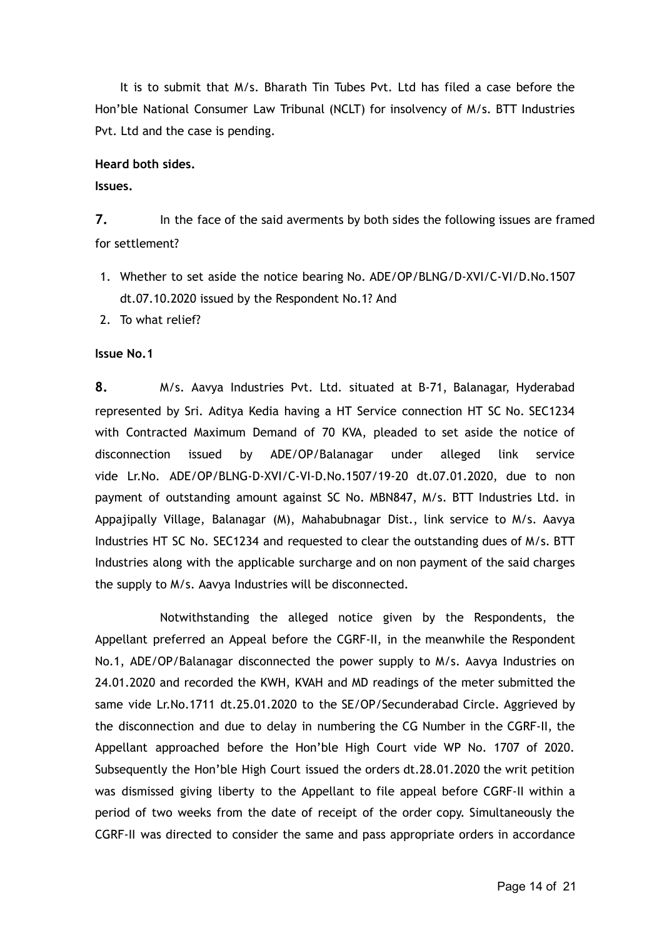It is to submit that M/s. Bharath Tin Tubes Pvt. Ltd has filed a case before the Hon'ble National Consumer Law Tribunal (NCLT) for insolvency of M/s. BTT Industries Pvt. Ltd and the case is pending.

#### **Heard both sides.**

### **Issues.**

**7.** In the face of the said averments by both sides the following issues are framed for settlement?

- 1. Whether to set aside the notice bearing No. ADE/OP/BLNG/D-XVI/C-VI/D.No.1507 dt.07.10.2020 issued by the Respondent No.1? And
- 2. To what relief?

### **Issue No.1**

**8.** M/s. Aavya Industries Pvt. Ltd. situated at B-71, Balanagar, Hyderabad represented by Sri. Aditya Kedia having a HT Service connection HT SC No. SEC1234 with Contracted Maximum Demand of 70 KVA, pleaded to set aside the notice of disconnection issued by ADE/OP/Balanagar under alleged link service vide Lr.No. ADE/OP/BLNG-D-XVI/C-VI-D.No.1507/19-20 dt.07.01.2020, due to non payment of outstanding amount against SC No. MBN847, M/s. BTT Industries Ltd. in Appajipally Village, Balanagar (M), Mahabubnagar Dist., link service to M/s. Aavya Industries HT SC No. SEC1234 and requested to clear the outstanding dues of M/s. BTT Industries along with the applicable surcharge and on non payment of the said charges the supply to M/s. Aavya Industries will be disconnected.

Notwithstanding the alleged notice given by the Respondents, the Appellant preferred an Appeal before the CGRF-II, in the meanwhile the Respondent No.1, ADE/OP/Balanagar disconnected the power supply to M/s. Aavya Industries on 24.01.2020 and recorded the KWH, KVAH and MD readings of the meter submitted the same vide Lr.No.1711 dt.25.01.2020 to the SE/OP/Secunderabad Circle. Aggrieved by the disconnection and due to delay in numbering the CG Number in the CGRF-II, the Appellant approached before the Hon'ble High Court vide WP No. 1707 of 2020. Subsequently the Hon'ble High Court issued the orders dt.28.01.2020 the writ petition was dismissed giving liberty to the Appellant to file appeal before CGRF-II within a period of two weeks from the date of receipt of the order copy. Simultaneously the CGRF-II was directed to consider the same and pass appropriate orders in accordance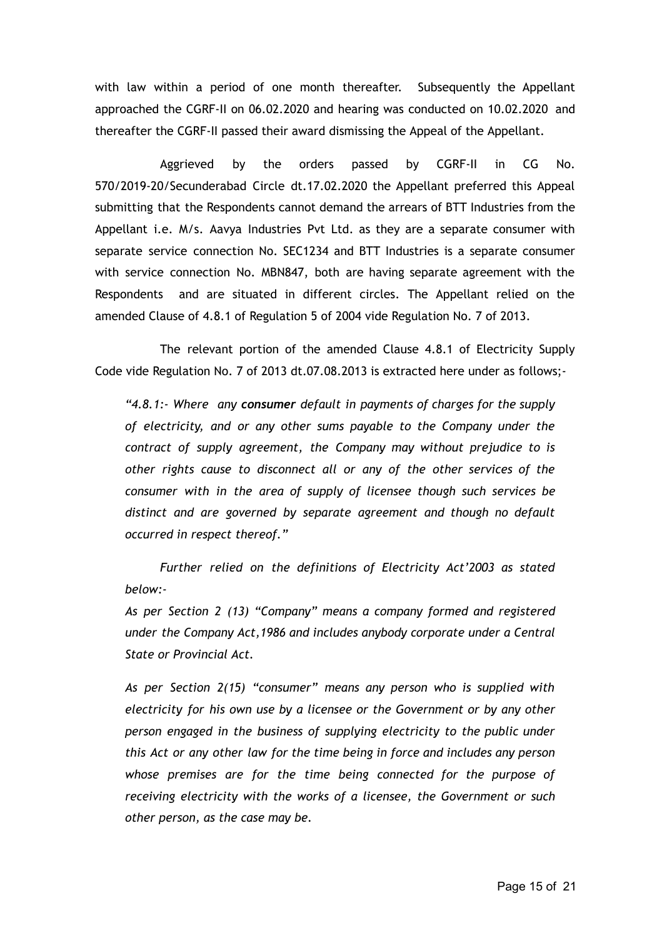with law within a period of one month thereafter. Subsequently the Appellant approached the CGRF-II on 06.02.2020 and hearing was conducted on 10.02.2020 and thereafter the CGRF-II passed their award dismissing the Appeal of the Appellant.

Aggrieved by the orders passed by CGRF-II in CG No. 570/2019-20/Secunderabad Circle dt.17.02.2020 the Appellant preferred this Appeal submitting that the Respondents cannot demand the arrears of BTT Industries from the Appellant i.e. M/s. Aavya Industries Pvt Ltd. as they are a separate consumer with separate service connection No. SEC1234 and BTT Industries is a separate consumer with service connection No. MBN847, both are having separate agreement with the Respondents and are situated in different circles. The Appellant relied on the amended Clause of 4.8.1 of Regulation 5 of 2004 vide Regulation No. 7 of 2013.

The relevant portion of the amended Clause 4.8.1 of Electricity Supply Code vide Regulation No. 7 of 2013 dt.07.08.2013 is extracted here under as follows;-

*"4.8.1:- Where any consumer default in payments of charges for the supply of electricity, and or any other sums payable to the Company under the contract of supply agreement, the Company may without prejudice to is other rights cause to disconnect all or any of the other services of the consumer with in the area of supply of licensee though such services be distinct and are governed by separate agreement and though no default occurred in respect thereof."*

*Further relied on the definitions of Electricity Act'2003 as stated below:-*

*As per Section 2 (13) "Company" means a company formed and registered under the Company Act,1986 and includes anybody corporate under a Central State or Provincial Act.*

*As per Section 2(15) "consumer" means any person who is supplied with electricity for his own use by a licensee or the Government or by any other person engaged in the business of supplying electricity to the public under this Act or any other law for the time being in force and includes any person whose premises are for the time being connected for the purpose of receiving electricity with the works of a licensee, the Government or such other person, as the case may be.*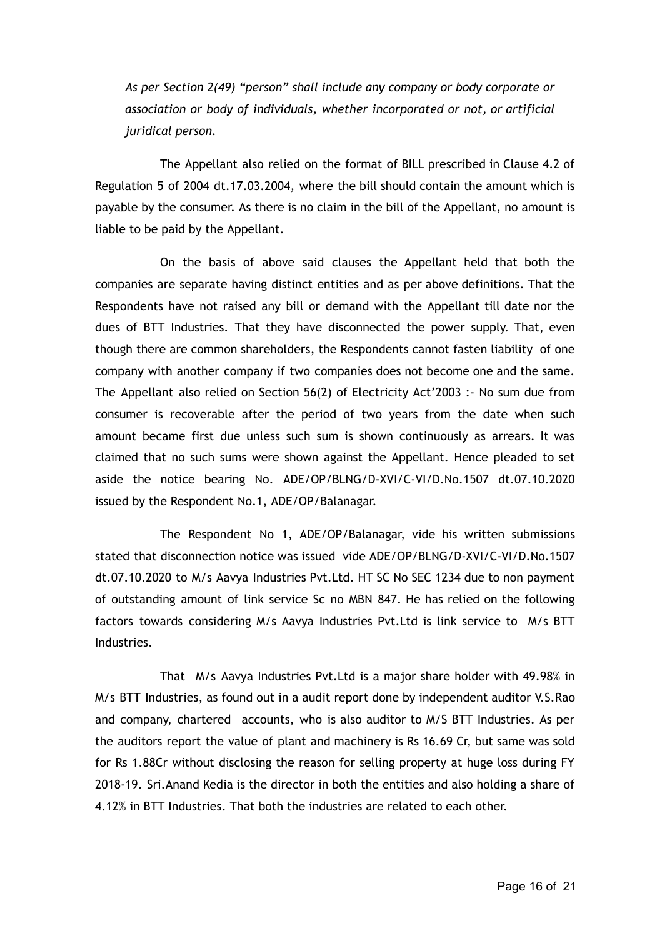*As per Section 2(49) "person" shall include any company or body corporate or association or body of individuals, whether incorporated or not, or artificial juridical person.*

The Appellant also relied on the format of BILL prescribed in Clause 4.2 of Regulation 5 of 2004 dt.17.03.2004, where the bill should contain the amount which is payable by the consumer. As there is no claim in the bill of the Appellant, no amount is liable to be paid by the Appellant.

On the basis of above said clauses the Appellant held that both the companies are separate having distinct entities and as per above definitions. That the Respondents have not raised any bill or demand with the Appellant till date nor the dues of BTT Industries. That they have disconnected the power supply. That, even though there are common shareholders, the Respondents cannot fasten liability of one company with another company if two companies does not become one and the same. The Appellant also relied on Section 56(2) of Electricity Act'2003 :- No sum due from consumer is recoverable after the period of two years from the date when such amount became first due unless such sum is shown continuously as arrears. It was claimed that no such sums were shown against the Appellant. Hence pleaded to set aside the notice bearing No. ADE/OP/BLNG/D-XVI/C-VI/D.No.1507 dt.07.10.2020 issued by the Respondent No.1, ADE/OP/Balanagar.

The Respondent No 1, ADE/OP/Balanagar, vide his written submissions stated that disconnection notice was issued vide ADE/OP/BLNG/D-XVI/C-VI/D.No.1507 dt.07.10.2020 to M/s Aavya Industries Pvt.Ltd. HT SC No SEC 1234 due to non payment of outstanding amount of link service Sc no MBN 847. He has relied on the following factors towards considering M/s Aavya Industries Pvt.Ltd is link service to M/s BTT Industries.

That M/s Aavya Industries Pvt.Ltd is a major share holder with 49.98% in M/s BTT Industries, as found out in a audit report done by independent auditor V.S.Rao and company, chartered accounts, who is also auditor to M/S BTT Industries. As per the auditors report the value of plant and machinery is Rs 16.69 Cr, but same was sold for Rs 1.88Cr without disclosing the reason for selling property at huge loss during FY 2018-19. Sri.Anand Kedia is the director in both the entities and also holding a share of 4.12% in BTT Industries. That both the industries are related to each other.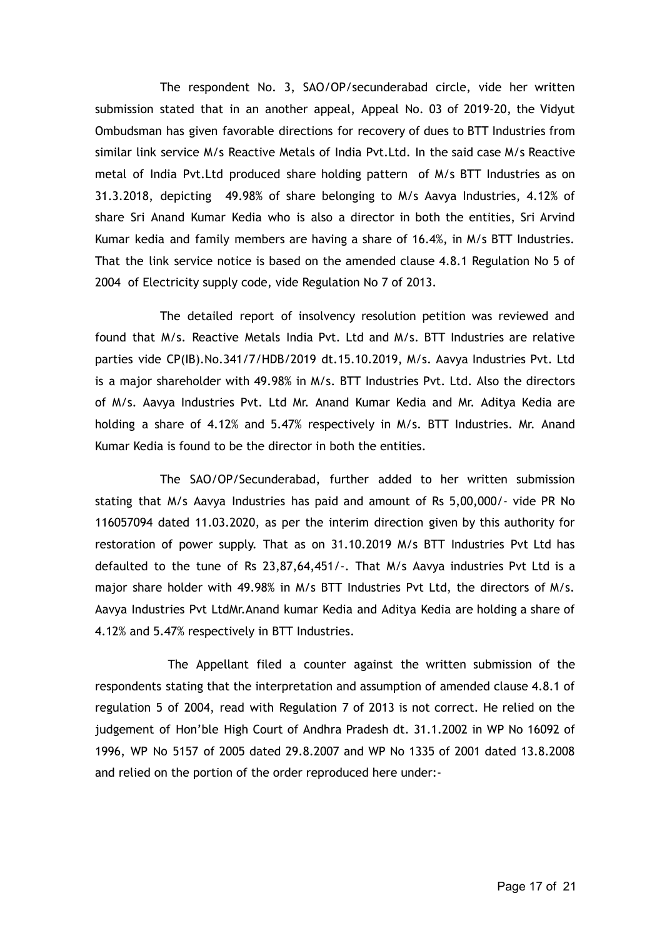The respondent No. 3, SAO/OP/secunderabad circle, vide her written submission stated that in an another appeal, Appeal No. 03 of 2019-20, the Vidyut Ombudsman has given favorable directions for recovery of dues to BTT Industries from similar link service M/s Reactive Metals of India Pvt.Ltd. In the said case M/s Reactive metal of India Pvt.Ltd produced share holding pattern of M/s BTT Industries as on 31.3.2018, depicting 49.98% of share belonging to M/s Aavya Industries, 4.12% of share Sri Anand Kumar Kedia who is also a director in both the entities, Sri Arvind Kumar kedia and family members are having a share of 16.4%, in M/s BTT Industries. That the link service notice is based on the amended clause 4.8.1 Regulation No 5 of 2004 of Electricity supply code, vide Regulation No 7 of 2013.

The detailed report of insolvency resolution petition was reviewed and found that M/s. Reactive Metals India Pvt. Ltd and M/s. BTT Industries are relative parties vide CP(IB).No.341/7/HDB/2019 dt.15.10.2019, M/s. Aavya Industries Pvt. Ltd is a major shareholder with 49.98% in M/s. BTT Industries Pvt. Ltd. Also the directors of M/s. Aavya Industries Pvt. Ltd Mr. Anand Kumar Kedia and Mr. Aditya Kedia are holding a share of 4.12% and 5.47% respectively in M/s. BTT Industries. Mr. Anand Kumar Kedia is found to be the director in both the entities.

The SAO/OP/Secunderabad, further added to her written submission stating that M/s Aavya Industries has paid and amount of Rs 5,00,000/- vide PR No 116057094 dated 11.03.2020, as per the interim direction given by this authority for restoration of power supply. That as on 31.10.2019 M/s BTT Industries Pvt Ltd has defaulted to the tune of Rs 23,87,64,451/-. That M/s Aavya industries Pvt Ltd is a major share holder with 49.98% in M/s BTT Industries Pvt Ltd, the directors of M/s. Aavya Industries Pvt LtdMr.Anand kumar Kedia and Aditya Kedia are holding a share of 4.12% and 5.47% respectively in BTT Industries.

The Appellant filed a counter against the written submission of the respondents stating that the interpretation and assumption of amended clause 4.8.1 of regulation 5 of 2004, read with Regulation 7 of 2013 is not correct. He relied on the judgement of Hon'ble High Court of Andhra Pradesh dt. 31.1.2002 in WP No 16092 of 1996, WP No 5157 of 2005 dated 29.8.2007 and WP No 1335 of 2001 dated 13.8.2008 and relied on the portion of the order reproduced here under:-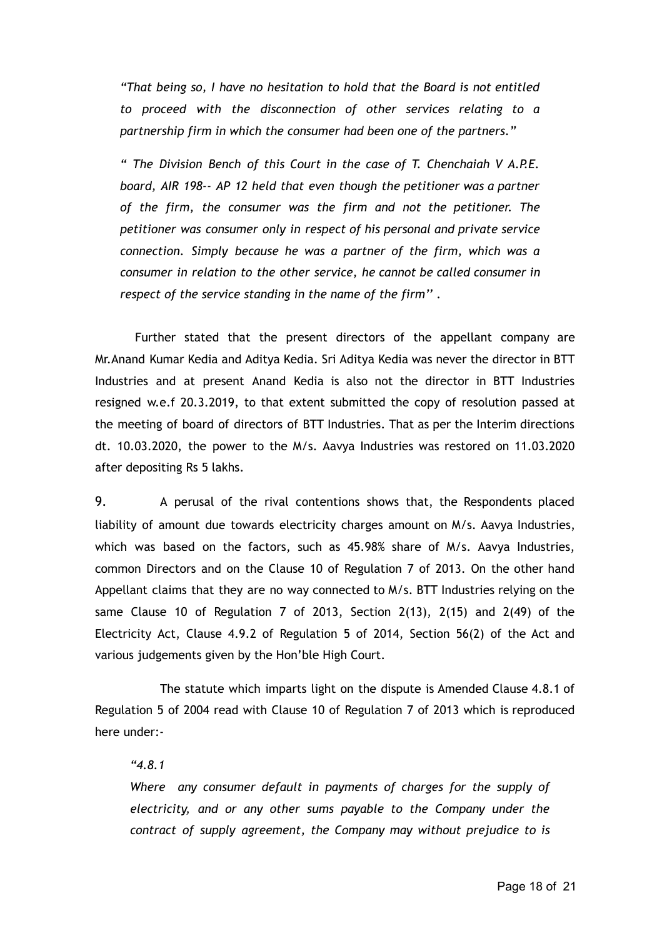*"That being so, I have no hesitation to hold that the Board is not entitled to proceed with the disconnection of other services relating to a partnership firm in which the consumer had been one of the partners."*

*" The Division Bench of this Court in the case of T. Chenchaiah V A.P.E. board, AIR 198-- AP 12 held that even though the petitioner was a partner of the firm, the consumer was the firm and not the petitioner. The petitioner was consumer only in respect of his personal and private service connection. Simply because he was a partner of the firm, which was a consumer in relation to the other service, he cannot be called consumer in respect of the service standing in the name of the firm'' .*

Further stated that the present directors of the appellant company are Mr.Anand Kumar Kedia and Aditya Kedia. Sri Aditya Kedia was never the director in BTT Industries and at present Anand Kedia is also not the director in BTT Industries resigned w.e.f 20.3.2019, to that extent submitted the copy of resolution passed at the meeting of board of directors of BTT Industries. That as per the Interim directions dt. 10.03.2020, the power to the M/s. Aavya Industries was restored on 11.03.2020 after depositing Rs 5 lakhs.

9. A perusal of the rival contentions shows that, the Respondents placed liability of amount due towards electricity charges amount on M/s. Aavya Industries, which was based on the factors, such as 45.98% share of M/s. Aavya Industries, common Directors and on the Clause 10 of Regulation 7 of 2013. On the other hand Appellant claims that they are no way connected to M/s. BTT Industries relying on the same Clause 10 of Regulation 7 of 2013, Section 2(13), 2(15) and 2(49) of the Electricity Act, Clause 4.9.2 of Regulation 5 of 2014, Section 56(2) of the Act and various judgements given by the Hon'ble High Court.

The statute which imparts light on the dispute is Amended Clause 4.8.1 of Regulation 5 of 2004 read with Clause 10 of Regulation 7 of 2013 which is reproduced here under:-

### *"4.8.1*

*Where any consumer default in payments of charges for the supply of electricity, and or any other sums payable to the Company under the contract of supply agreement, the Company may without prejudice to is*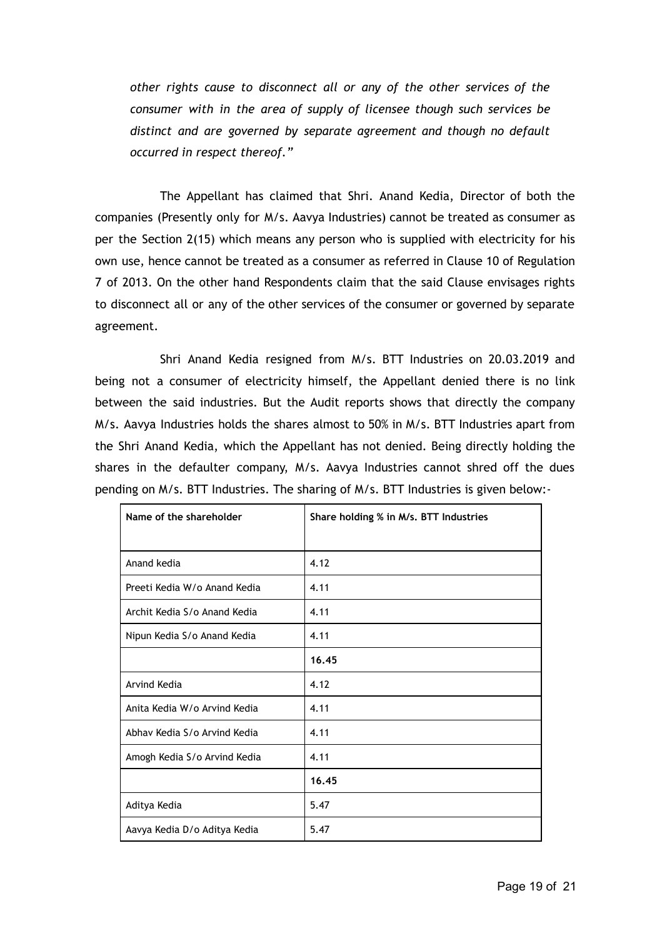*other rights cause to disconnect all or any of the other services of the consumer with in the area of supply of licensee though such services be distinct and are governed by separate agreement and though no default occurred in respect thereof."*

The Appellant has claimed that Shri. Anand Kedia, Director of both the companies (Presently only for M/s. Aavya Industries) cannot be treated as consumer as per the Section 2(15) which means any person who is supplied with electricity for his own use, hence cannot be treated as a consumer as referred in Clause 10 of Regulation 7 of 2013. On the other hand Respondents claim that the said Clause envisages rights to disconnect all or any of the other services of the consumer or governed by separate agreement.

Shri Anand Kedia resigned from M/s. BTT Industries on 20.03.2019 and being not a consumer of electricity himself, the Appellant denied there is no link between the said industries. But the Audit reports shows that directly the company M/s. Aavya Industries holds the shares almost to 50% in M/s. BTT Industries apart from the Shri Anand Kedia, which the Appellant has not denied. Being directly holding the shares in the defaulter company, M/s. Aavya Industries cannot shred off the dues pending on M/s. BTT Industries. The sharing of M/s. BTT Industries is given below:-

| Name of the shareholder      | Share holding % in M/s. BTT Industries |
|------------------------------|----------------------------------------|
|                              |                                        |
| Anand kedia                  | 4.12                                   |
| Preeti Kedia W/o Anand Kedia | 4.11                                   |
| Archit Kedia S/o Anand Kedia | 4.11                                   |
| Nipun Kedia S/o Anand Kedia  | 4.11                                   |
|                              | 16.45                                  |
| Arvind Kedia                 | 4.12                                   |
| Anita Kedia W/o Arvind Kedia | 4.11                                   |
| Abhay Kedia S/o Arvind Kedia | 4.11                                   |
| Amogh Kedia S/o Arvind Kedia | 4.11                                   |
|                              | 16.45                                  |
| Aditya Kedia                 | 5.47                                   |
| Aavya Kedia D/o Aditya Kedia | 5.47                                   |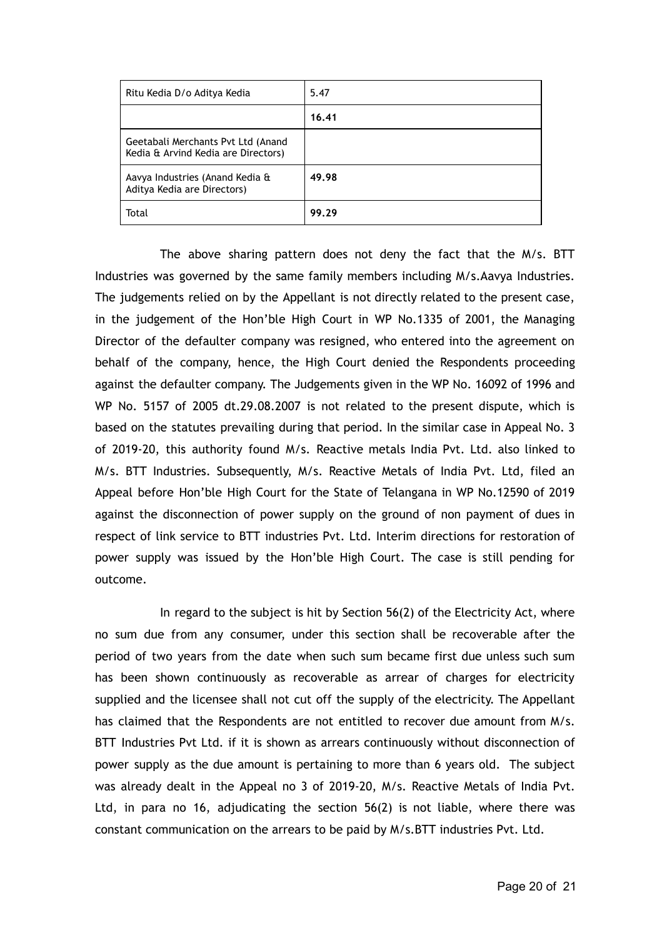| Ritu Kedia D/o Aditya Kedia                                               | 5.47  |
|---------------------------------------------------------------------------|-------|
|                                                                           | 16.41 |
| Geetabali Merchants Pvt Ltd (Anand<br>Kedia & Arvind Kedia are Directors) |       |
| Aavya Industries (Anand Kedia &<br>Aditya Kedia are Directors)            | 49.98 |
| Total                                                                     | 99.29 |

The above sharing pattern does not deny the fact that the M/s. BTT Industries was governed by the same family members including M/s.Aavya Industries. The judgements relied on by the Appellant is not directly related to the present case, in the judgement of the Hon'ble High Court in WP No.1335 of 2001, the Managing Director of the defaulter company was resigned, who entered into the agreement on behalf of the company, hence, the High Court denied the Respondents proceeding against the defaulter company. The Judgements given in the WP No. 16092 of 1996 and WP No. 5157 of 2005 dt.29.08.2007 is not related to the present dispute, which is based on the statutes prevailing during that period. In the similar case in Appeal No. 3 of 2019-20, this authority found M/s. Reactive metals India Pvt. Ltd. also linked to M/s. BTT Industries. Subsequently, M/s. Reactive Metals of India Pvt. Ltd, filed an Appeal before Hon'ble High Court for the State of Telangana in WP No.12590 of 2019 against the disconnection of power supply on the ground of non payment of dues in respect of link service to BTT industries Pvt. Ltd. Interim directions for restoration of power supply was issued by the Hon'ble High Court. The case is still pending for outcome.

In regard to the subject is hit by Section 56(2) of the Electricity Act, where no sum due from any consumer, under this section shall be recoverable after the period of two years from the date when such sum became first due unless such sum has been shown continuously as recoverable as arrear of charges for electricity supplied and the licensee shall not cut off the supply of the electricity. The Appellant has claimed that the Respondents are not entitled to recover due amount from M/s. BTT Industries Pvt Ltd. if it is shown as arrears continuously without disconnection of power supply as the due amount is pertaining to more than 6 years old. The subject was already dealt in the Appeal no 3 of 2019-20, M/s. Reactive Metals of India Pvt. Ltd, in para no 16, adjudicating the section 56(2) is not liable, where there was constant communication on the arrears to be paid by M/s.BTT industries Pvt. Ltd.